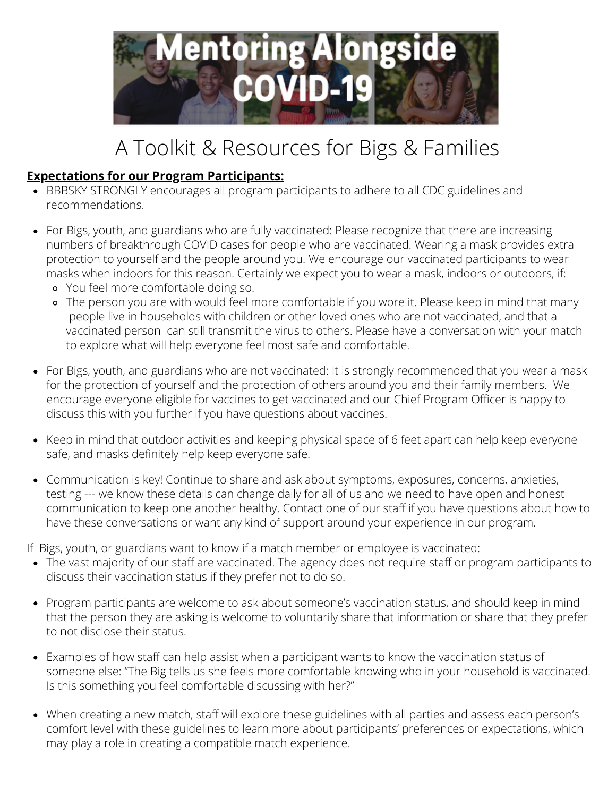

## A Toolkit & Resources for Bigs & Families

## **Expectations for our Program Participants:**

- BBBSKY STRONGLY encourages all program participants to adhere to all CDC guidelines and recommendations.
- For Bigs, youth, and guardians who are fully vaccinated: Please recognize that there are increasing numbers of breakthrough COVID cases for people who are vaccinated. Wearing a mask provides extra protection to yourself and the people around you. We encourage our vaccinated participants to wear masks when indoors for this reason. Certainly we expect you to wear a mask, indoors or outdoors, if:
	- You feel more comfortable doing so.
	- The person you are with would feel more comfortable if you wore it. Please keep in mind that many people live in households with children or other loved ones who are not vaccinated, and that a vaccinated person can still transmit the virus to others. Please have a conversation with your match to explore what will help everyone feel most safe and comfortable.
- For Bigs, youth, and guardians who are not vaccinated: It is strongly recommended that you wear a mask for the protection of yourself and the protection of others around you and their family members. We encourage everyone eligible for vaccines to get vaccinated and our Chief Program Officer is happy to discuss this with you further if you have questions about vaccines.
- Keep in mind that outdoor activities and keeping physical space of 6 feet apart can help keep everyone safe, and masks definitely help keep everyone safe.
- Communication is key! Continue to share and ask about symptoms, exposures, concerns, anxieties, testing --- we know these details can change daily for all of us and we need to have open and honest communication to keep one another healthy. Contact one of our staff if you have questions about how to have these conversations or want any kind of support around your experience in our program.

If Bigs, youth, or guardians want to know if a match member or employee is vaccinated:

- The vast majority of our staff are vaccinated. The agency does not require staff or program participants to discuss their vaccination status if they prefer not to do so.
- Program participants are welcome to ask about someone's vaccination status, and should keep in mind that the person they are asking is welcome to voluntarily share that information or share that they prefer to not disclose their status.
- Examples of how staff can help assist when a participant wants to know the vaccination status of someone else: "The Big tells us she feels more comfortable knowing who in your household is vaccinated. Is this something you feel comfortable discussing with her?"
- When creating a new match, staff will explore these guidelines with all parties and assess each person's comfort level with these guidelines to learn more about participants' preferences or expectations, which may play a role in creating a compatible match experience.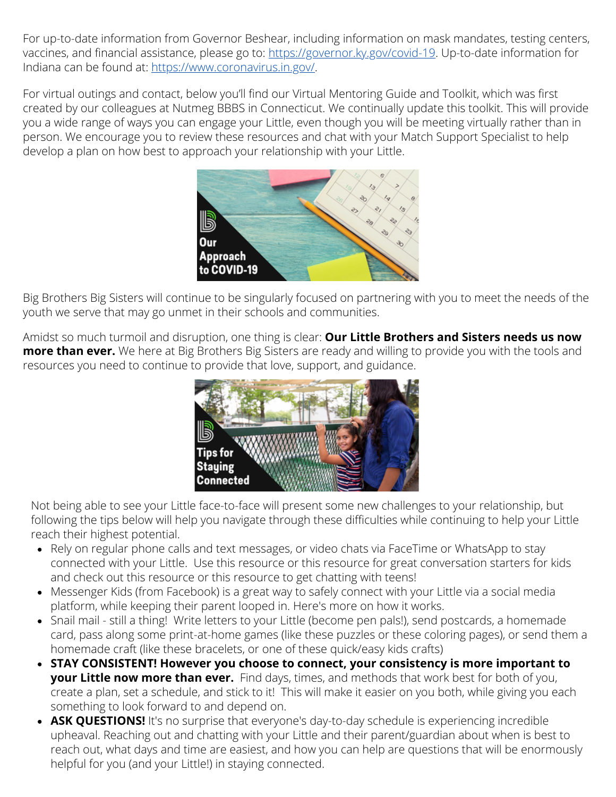For up-to-date information from Governor Beshear, including information on mask mandates, testing centers, vaccines, and financial assistance, please go to: [https://governor.ky.gov/covid-19.](https://governor.ky.gov/covid-19) Up-to-date information for Indiana can be found at: <https://www.coronavirus.in.gov/>.

For virtual outings and contact, below you'll find our Virtual Mentoring Guide and Toolkit, which was first created by our colleagues at Nutmeg BBBS in Connecticut. We continually update this toolkit. This will provide you a wide range of ways you can engage your Little, even though you will be meeting virtually rather than in person. We encourage you to review these resources and chat with your Match Support Specialist to help develop a plan on how best to approach your relationship with your Little.



Big Brothers Big Sisters will continue to be singularly focused on partnering with you to meet the needs of the youth we serve that may go unmet in their schools and communities.

Amidst so much turmoil and disruption, one thing is clear: **Our Little Brothers and Sisters needs us now more than ever.** We here at Big Brothers Big Sisters are ready and willing to provide you with the tools and resources you need to continue to provide that love, support, and guidance.



Not being able to see your Little face-to-face will present some new challenges to your relationship, but following the tips below will help you navigate through these difficulties while continuing to help your Little reach their highest potential.

- Rely on regular phone calls and text messages, or video chats via FaceTime or WhatsApp to stay connected with your Little. Use this resource or this resource for great conversation starters for kids and check out this resource or this resource to get chatting with teens!
- Messenger Kids (from Facebook) is a great way to safely connect with your Little via a social media platform, while keeping their parent looped in. Here's more on how it works.
- Snail mail still a thing! Write letters to your Little (become pen pals!), send postcards, a homemade card, pass along some print-at-home games (like these puzzles or these coloring pages), or send them a homemade craft (like these bracelets, or one of these quick/easy kids crafts)
- **STAY CONSISTENT! However you choose to connect, your consistency is more important to your Little now more than ever.** Find days, times, and methods that work best for both of you, create a plan, set a schedule, and stick to it! This will make it easier on you both, while giving you each something to look forward to and depend on.
- **ASK QUESTIONS!** It's no surprise that everyone's day-to-day schedule is experiencing incredible upheaval. Reaching out and chatting with your Little and their parent/guardian about when is best to reach out, what days and time are easiest, and how you can help are questions that will be enormously helpful for you (and your Little!) in staying connected.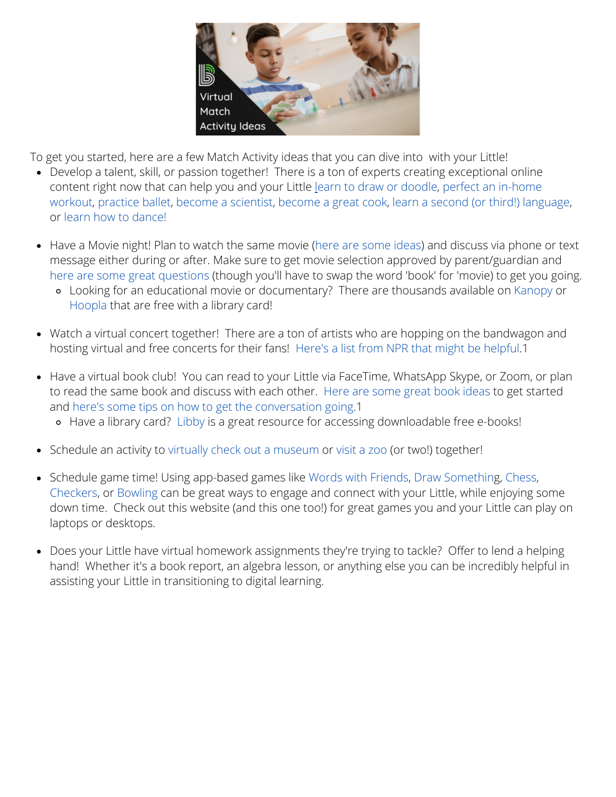

To get you started, here are a few Match Activity ideas that you can dive into with your Little!

- Develop a talent, skill, or passion together! There is a ton of experts creating exceptional online content right now that can help you and your Little [le](https://www.youtube.com/user/studiojjk)arn to draw or [doodle,](https://www.youtube.com/user/studiojjk) perfect an in-home [workout,](https://www.youtube.com/user/Otheoryfitness) [practice](https://www.instagram.com/tilerpeck/) ballet, become a [scientist](https://mysteryscience.com/distance-learning), [become](https://www.americastestkitchen.com/kids/home) a great cook, learn a second (or third!) [language](https://www.duolingo.com/), or learn how to [dance!](https://www.clistudios.com/?utm_source=google&utm_medium=cpc&utm_campaign=10139017414&utm_content=475951596600&gclid=CjwKCAjwjbCDBhAwEiwAiudBy-UcrpHfN-BZf2jlz0b76jO5VF4RiAW39FBVuK1tPrDgMRzHIBoG0hoCL-gQAvD_BwE)
- Have a Movie night! Plan to watch the same movie (here are [some](https://mommypoppins.com/kids/tv-film-movies/50-best-kids-movies-for-family-movie-night) ideas) and discuss via phone or text message either during or after. Make sure to get movie selection approved by parent/guardian and here are some great [questions](https://bookriot.com/book-club-discussion-questions/) (though you'll have to swap the word 'book' for 'movie) to get you going.
	- Looking for an educational movie or documentary? There are thousands available on [Kanopy](https://www.kanopy.com/frontpage?frontend=kui) or [Hoopla](https://www.hoopladigital.com/) that are free with a library card!
- Watch a virtual concert together! There are a ton of artists who are hopping on the bandwagon and hosting virtual and free concerts for their fans! Here's a list from NPR that might be [helpful.](https://www.npr.org/2020/03/17/816504058/a-list-of-live-virtual-concerts-to-watch-during-the-coronavirus-shutdown)1
- Have a virtual book club! You can read to your Little via FaceTime, WhatsApp Skype, or Zoom, or plan to read the same book and discuss with each other. Here are [some](https://www.raisesmartkid.com/all-ages/101-best-childrens-books-of-all-time-by-age) great book ideas to get started and here's some tips on how to get the [conversation](https://bookriot.com/book-club-discussion-questions/) going.1
	- Have a library card? [Libby](https://www.overdrive.com/apps/libby) is a great resource for accessing downloadable free e-books!
- Schedule an activity to virtually check out a [museum](https://www.mentalfloss.com/article/75809/12-world-class-museums-you-can-visit-online) or [visit](https://www.youtube.com/channel/UCE3VoxyYmyQCReOXk2ogsVg) a zoo (or two!) together!
- Schedule game time! Using app-based games like Words with [Friends](https://apps.apple.com/us/app/words-with-friends-word-game/id804379658), Draw [Somethin](https://apps.apple.com/us/app/draw-something-classic/id488628250)g, [Chess](https://www.chesskid.com/), [Checkers,](https://apps.apple.com/us/app/checkers/id321026028) or [Bowling](https://apps.apple.com/us/app/bowling-king/id769737983) can be great ways to engage and connect with your Little, while enjoying some down time. Check out this website (and this one too!) for great games you and your Little can play on laptops or desktops.
- Does your Little have virtual homework assignments they're trying to tackle? Offer to lend a helping hand! Whether it's a book report, an algebra lesson, or anything else you can be incredibly helpful in assisting your Little in transitioning to digital learning.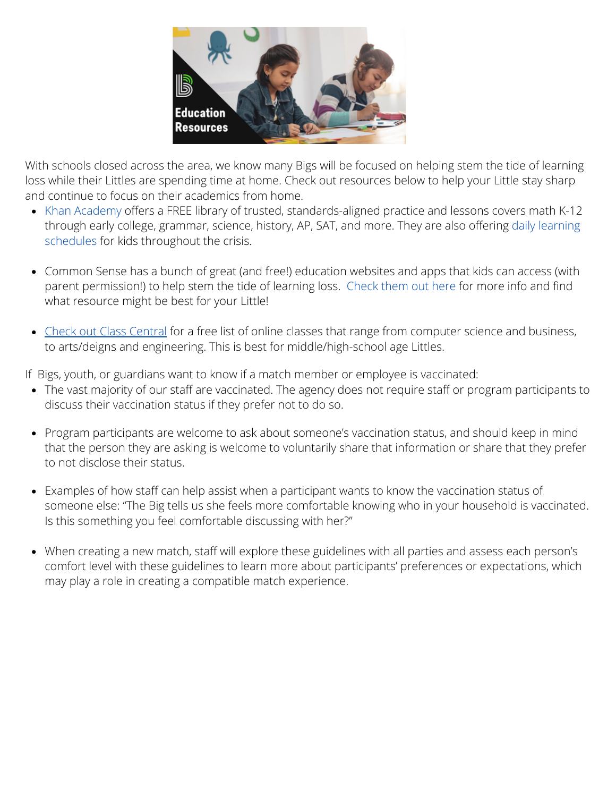

With schools closed across the area, we know many Bigs will be focused on helping stem the tide of learning loss while their Littles are spending time at home. Check out resources below to help your Little stay sharp and continue to focus on their academics from home.

- Khan [Academy](https://www.khanacademy.org/) offers a FREE library of trusted, standards-aligned practice and lessons covers math K-12 through early college, grammar, science, history, AP, SAT, and more. They are also offering daily learning schedules for kids [throughout](https://docs.google.com/document/d/e/2PACX-1vSZhOdEPAWjUQpqDkVAlJrFwxxZ9Sa6zGOq0CNRms6Z7DZNq-tQWS3OhuVCUbh_-P-WmksHAzbsrk9d/pub) the crisis.
- Common Sense has a bunch of great (and free!) education websites and apps that kids can access (with parent permission!) to help stem the tide of learning loss. [Check](https://www.commonsensemedia.org/lists/free-educational-apps-games-and-websites) them out here for [more](https://www.commonsensemedia.org/lists/free-educational-apps-games-and-websites) info and find what resource might be best for your Little!
- Check out Class [Central](https://www.classcentral.com/) for a free list of online classes that range from computer science and business, to arts/deigns and engineering. This is best for middle/high-school age Littles.

If Bigs, youth, or guardians want to know if a match member or employee is vaccinated:

- The vast majority of our staff are vaccinated. The agency does not require staff or program participants to discuss their vaccination status if they prefer not to do so.
- Program participants are welcome to ask about someone's vaccination status, and should keep in mind that the person they are asking is welcome to voluntarily share that information or share that they prefer to not disclose their status.
- Examples of how staff can help assist when a participant wants to know the vaccination status of someone else: "The Big tells us she feels more comfortable knowing who in your household is vaccinated. Is this something you feel comfortable discussing with her?"
- When creating a new match, staff will explore these guidelines with all parties and assess each person's comfort level with these guidelines to learn more about participants' preferences or expectations, which may play a role in creating a compatible match experience.